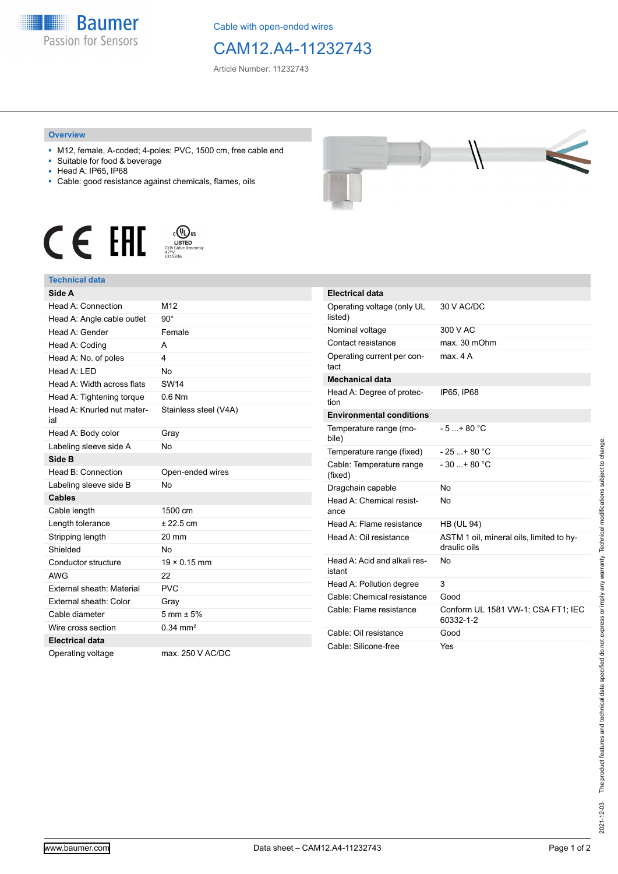

Cable with open-ended wires

## CAM12.A4-11232743

Article Number: 11232743

## **Overview**

- M12, female, A-coded; 4-poles; PVC, 1500 cm, free cable end
- Suitable for food & beverage
- Head A: IP65, IP68
- Cable: good resistance against chemicals, flames, oils







| Side A                            |                        |
|-----------------------------------|------------------------|
| Head A: Connection                | M12                    |
| Head A: Angle cable outlet        | $90^\circ$             |
| Head A: Gender                    | Female                 |
| Head A: Coding                    | A                      |
| Head A: No. of poles              | 4                      |
| Head A: LED                       | <b>No</b>              |
| Head A: Width across flats        | <b>SW14</b>            |
| Head A: Tightening torque         | $0.6$ Nm               |
| Head A: Knurled nut mater-<br>ial | Stainless steel (V4A)  |
| Head A: Body color                | Gray                   |
| Labeling sleeve side A            | <b>No</b>              |
| Side B                            |                        |
| Head B: Connection                | Open-ended wires       |
| Labeling sleeve side B            | <b>No</b>              |
| <b>Cables</b>                     |                        |
| Cable length                      | 1500 cm                |
| Length tolerance                  | ± 22.5 cm              |
| Stripping length                  | 20 mm                  |
| Shielded                          | <b>No</b>              |
| Conductor structure               | $19 \times 0.15$ mm    |
| <b>AWG</b>                        | 22                     |
| External sheath: Material         | <b>PVC</b>             |
| External sheath: Color            | Gray                   |
| Cable diameter                    | $5 \text{ mm} \pm 5\%$ |
| Wire cross section                | $0.34$ mm <sup>2</sup> |
| <b>Electrical data</b>            |                        |
| Operating voltage                 | max. 250 V AC/DC       |



| <b>Electrical data</b>                 |                                                          |
|----------------------------------------|----------------------------------------------------------|
| Operating voltage (only UL<br>listed)  | 30 V AC/DC                                               |
| Nominal voltage                        | 300 V AC                                                 |
| Contact resistance                     | max. 30 mOhm                                             |
| Operating current per con-<br>tact     | max 4 A                                                  |
| <b>Mechanical data</b>                 |                                                          |
| Head A: Degree of protec-<br>tion      | IP65. IP68                                               |
| <b>Environmental conditions</b>        |                                                          |
| Temperature range (mo-<br>bile)        | $-5+80 °C$                                               |
| Temperature range (fixed)              | $-25+80 °C$                                              |
| Cable: Temperature range<br>(fixed)    | $-30$ + 80 °C                                            |
| Dragchain capable                      | No                                                       |
| Head A: Chemical resist-<br>ance       | No                                                       |
| Head A: Flame resistance               | <b>HB (UL 94)</b>                                        |
| Head A: Oil resistance                 | ASTM 1 oil, mineral oils, limited to hy-<br>draulic oils |
| Head A: Acid and alkali res-<br>istant | N٥                                                       |
| Head A: Pollution degree               | 3                                                        |
| Cable: Chemical resistance             | Good                                                     |
| Cable: Flame resistance                | Conform UL 1581 VW-1; CSA FT1; IEC<br>60332-1-2          |
| Cable: Oil resistance                  | Good                                                     |
| Cable: Silicone-free                   | Yes                                                      |